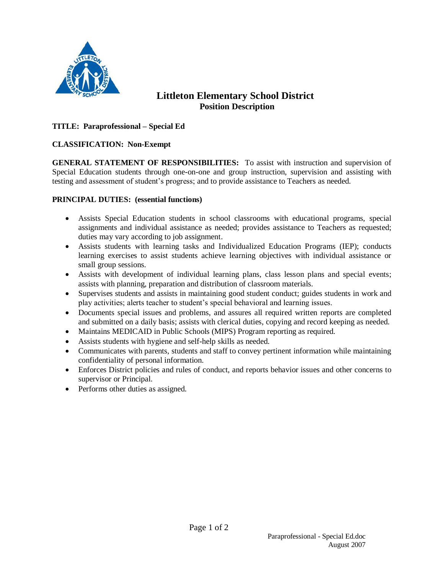

# **Littleton Elementary School District Position Description**

## **TITLE: Paraprofessional – Special Ed**

### **CLASSIFICATION: Non-Exempt**

**GENERAL STATEMENT OF RESPONSIBILITIES:** To assist with instruction and supervision of Special Education students through one-on-one and group instruction, supervision and assisting with testing and assessment of student's progress; and to provide assistance to Teachers as needed.

### **PRINCIPAL DUTIES: (essential functions)**

- Assists Special Education students in school classrooms with educational programs, special assignments and individual assistance as needed; provides assistance to Teachers as requested; duties may vary according to job assignment.
- Assists students with learning tasks and Individualized Education Programs (IEP); conducts learning exercises to assist students achieve learning objectives with individual assistance or small group sessions.
- Assists with development of individual learning plans, class lesson plans and special events; assists with planning, preparation and distribution of classroom materials.
- Supervises students and assists in maintaining good student conduct; guides students in work and play activities; alerts teacher to student's special behavioral and learning issues.
- Documents special issues and problems, and assures all required written reports are completed and submitted on a daily basis; assists with clerical duties, copying and record keeping as needed.
- Maintains MEDICAID in Public Schools (MIPS) Program reporting as required.
- Assists students with hygiene and self-help skills as needed.
- Communicates with parents, students and staff to convey pertinent information while maintaining confidentiality of personal information.
- Enforces District policies and rules of conduct, and reports behavior issues and other concerns to supervisor or Principal.
- Performs other duties as assigned.